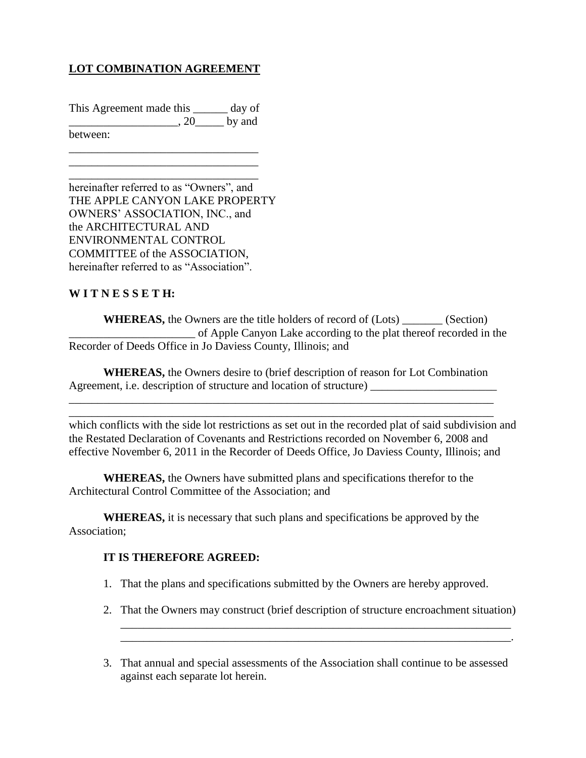## **LOT COMBINATION AGREEMENT**

This Agreement made this \_\_\_\_\_\_ day of  $\ldots$ , 20 by and between:

\_\_\_\_\_\_\_\_\_\_\_\_\_\_\_\_\_\_\_\_\_\_\_\_\_\_\_\_\_\_\_\_\_ \_\_\_\_\_\_\_\_\_\_\_\_\_\_\_\_\_\_\_\_\_\_\_\_\_\_\_\_\_\_\_\_\_

\_\_\_\_\_\_\_\_\_\_\_\_\_\_\_\_\_\_\_\_\_\_\_\_\_\_\_\_\_\_\_\_\_ hereinafter referred to as "Owners", and THE APPLE CANYON LAKE PROPERTY OWNERS' ASSOCIATION, INC., and the ARCHITECTURAL AND ENVIRONMENTAL CONTROL COMMITTEE of the ASSOCIATION, hereinafter referred to as "Association".

## **W I T N E S S E T H:**

**WHEREAS,** the Owners are the title holders of record of (Lots) \_\_\_\_\_\_\_ (Section) \_\_\_\_\_\_\_\_\_\_\_\_\_\_\_\_\_\_\_\_\_\_ of Apple Canyon Lake according to the plat thereof recorded in the Recorder of Deeds Office in Jo Daviess County, Illinois; and

**WHEREAS,** the Owners desire to (brief description of reason for Lot Combination Agreement, i.e. description of structure and location of structure)

\_\_\_\_\_\_\_\_\_\_\_\_\_\_\_\_\_\_\_\_\_\_\_\_\_\_\_\_\_\_\_\_\_\_\_\_\_\_\_\_\_\_\_\_\_\_\_\_\_\_\_\_\_\_\_\_\_\_\_\_\_\_\_\_\_\_\_\_\_\_\_\_\_\_ \_\_\_\_\_\_\_\_\_\_\_\_\_\_\_\_\_\_\_\_\_\_\_\_\_\_\_\_\_\_\_\_\_\_\_\_\_\_\_\_\_\_\_\_\_\_\_\_\_\_\_\_\_\_\_\_\_\_\_\_\_\_\_\_\_\_\_\_\_\_\_\_\_\_

which conflicts with the side lot restrictions as set out in the recorded plat of said subdivision and the Restated Declaration of Covenants and Restrictions recorded on November 6, 2008 and effective November 6, 2011 in the Recorder of Deeds Office, Jo Daviess County, Illinois; and

**WHEREAS,** the Owners have submitted plans and specifications therefor to the Architectural Control Committee of the Association; and

**WHEREAS,** it is necessary that such plans and specifications be approved by the Association;

## **IT IS THEREFORE AGREED:**

- 1. That the plans and specifications submitted by the Owners are hereby approved.
- 2. That the Owners may construct (brief description of structure encroachment situation) \_\_\_\_\_\_\_\_\_\_\_\_\_\_\_\_\_\_\_\_\_\_\_\_\_\_\_\_\_\_\_\_\_\_\_\_\_\_\_\_\_\_\_\_\_\_\_\_\_\_\_\_\_\_\_\_\_\_\_\_\_\_\_\_\_\_\_\_

\_\_\_\_\_\_\_\_\_\_\_\_\_\_\_\_\_\_\_\_\_\_\_\_\_\_\_\_\_\_\_\_\_\_\_\_\_\_\_\_\_\_\_\_\_\_\_\_\_\_\_\_\_\_\_\_\_\_\_\_\_\_\_\_\_\_\_\_.

3. That annual and special assessments of the Association shall continue to be assessed against each separate lot herein.